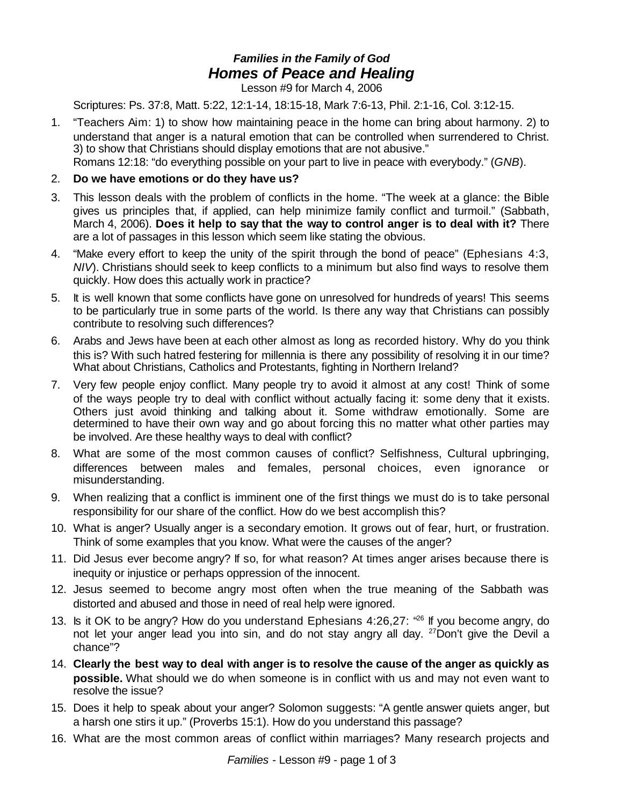## *Families in the Family of God Homes of Peace and Healing*

Lesson #9 for March 4, 2006

Scriptures: Ps. 37:8, Matt. 5:22, 12:1-14, 18:15-18, Mark 7:6-13, Phil. 2:1-16, Col. 3:12-15.

1. "Teachers Aim: 1) to show how maintaining peace in the home can bring about harmony. 2) to understand that anger is a natural emotion that can be controlled when surrendered to Christ. 3) to show that Christians should display emotions that are not abusive."

Romans 12:18: "do everything possible on your part to live in peace with everybody." (*GNB*).

## 2. **Do we have emotions or do they have us?**

- 3. This lesson deals with the problem of conflicts in the home. "The week at a glance: the Bible gives us principles that, if applied, can help minimize family conflict and turmoil." (Sabbath, March 4, 2006). **Does it help to say that the way to control anger is to deal with it?** There are a lot of passages in this lesson which seem like stating the obvious.
- 4. "Make every effort to keep the unity of the spirit through the bond of peace" (Ephesians 4:3, *NIV*). Christians should seek to keep conflicts to a minimum but also find ways to resolve them quickly. How does this actually work in practice?
- 5. It is well known that some conflicts have gone on unresolved for hundreds of years! This seems to be particularly true in some parts of the world. Is there any way that Christians can possibly contribute to resolving such differences?
- 6. Arabs and Jews have been at each other almost as long as recorded history. Why do you think this is? With such hatred festering for millennia is there any possibility of resolving it in our time? What about Christians, Catholics and Protestants, fighting in Northern Ireland?
- 7. Very few people enjoy conflict. Many people try to avoid it almost at any cost! Think of some of the ways people try to deal with conflict without actually facing it: some deny that it exists. Others just avoid thinking and talking about it. Some withdraw emotionally. Some are determined to have their own way and go about forcing this no matter what other parties may be involved. Are these healthy ways to deal with conflict?
- 8. What are some of the most common causes of conflict? Selfishness, Cultural upbringing, differences between males and females, personal choices, even ignorance or misunderstanding.
- 9. When realizing that a conflict is imminent one of the first things we must do is to take personal responsibility for our share of the conflict. How do we best accomplish this?
- 10. What is anger? Usually anger is a secondary emotion. It grows out of fear, hurt, or frustration. Think of some examples that you know. What were the causes of the anger?
- 11. Did Jesus ever become angry? If so, for what reason? At times anger arises because there is inequity or injustice or perhaps oppression of the innocent.
- 12. Jesus seemed to become angry most often when the true meaning of the Sabbath was distorted and abused and those in need of real help were ignored.
- 13. Is it OK to be angry? How do you understand Ephesians 4:26,27: "<sup>26</sup> If you become angry, do not let your anger lead you into sin, and do not stay angry all day. <sup>27</sup>Don't give the Devil a chance"?
- 14. **Clearly the best way to deal with anger is to resolve the cause of the anger as quickly as possible.** What should we do when someone is in conflict with us and may not even want to resolve the issue?
- 15. Does it help to speak about your anger? Solomon suggests: "A gentle answer quiets anger, but a harsh one stirs it up." (Proverbs 15:1). How do you understand this passage?
- 16. What are the most common areas of conflict within marriages? Many research projects and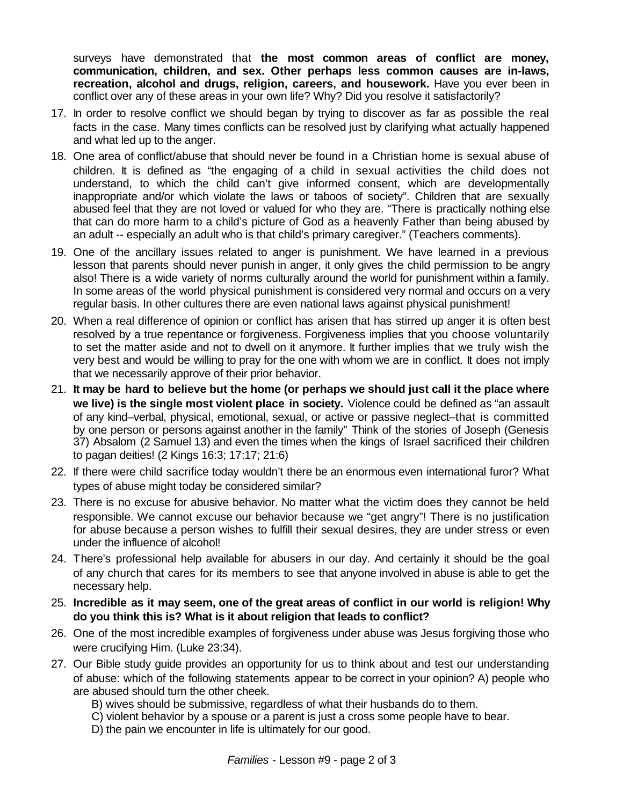surveys have demonstrated that **the most common areas of conflict are money, communication, children, and sex. Other perhaps less common causes are in-laws, recreation, alcohol and drugs, religion, careers, and housework.** Have you ever been in conflict over any of these areas in your own life? Why? Did you resolve it satisfactorily?

- 17. In order to resolve conflict we should began by trying to discover as far as possible the real facts in the case. Many times conflicts can be resolved just by clarifying what actually happened and what led up to the anger.
- 18. One area of conflict/abuse that should never be found in a Christian home is sexual abuse of children. It is defined as "the engaging of a child in sexual activities the child does not understand, to which the child can't give informed consent, which are developmentally inappropriate and/or which violate the laws or taboos of society". Children that are sexually abused feel that they are not loved or valued for who they are. "There is practically nothing else that can do more harm to a child's picture of God as a heavenly Father than being abused by an adult -- especially an adult who is that child's primary caregiver." (Teachers comments).
- 19. One of the ancillary issues related to anger is punishment. We have learned in a previous lesson that parents should never punish in anger, it only gives the child permission to be angry also! There is a wide variety of norms culturally around the world for punishment within a family. In some areas of the world physical punishment is considered very normal and occurs on a very regular basis. In other cultures there are even national laws against physical punishment!
- 20. When a real difference of opinion or conflict has arisen that has stirred up anger it is often best resolved by a true repentance or forgiveness. Forgiveness implies that you choose voluntarily to set the matter aside and not to dwell on it anymore. It further implies that we truly wish the very best and would be willing to pray for the one with whom we are in conflict. It does not imply that we necessarily approve of their prior behavior.
- 21. **It may be hard to believe but the home (or perhaps we should just call it the place where we live) is the single most violent place in society.** Violence could be defined as "an assault of any kind–verbal, physical, emotional, sexual, or active or passive neglect–that is committed by one person or persons against another in the family" Think of the stories of Joseph (Genesis 37) Absalom (2 Samuel 13) and even the times when the kings of Israel sacrificed their children to pagan deities! (2 Kings 16:3; 17:17; 21:6)
- 22. If there were child sacrifice today wouldn't there be an enormous even international furor? What types of abuse might today be considered similar?
- 23. There is no excuse for abusive behavior. No matter what the victim does they cannot be held responsible. We cannot excuse our behavior because we "get angry"! There is no justification for abuse because a person wishes to fulfill their sexual desires, they are under stress or even under the influence of alcohol!
- 24. There's professional help available for abusers in our day. And certainly it should be the goal of any church that cares for its members to see that anyone involved in abuse is able to get the necessary help.
- 25. **Incredible as it may seem, one of the great areas of conflict in our world is religion! Why do you think this is? What is it about religion that leads to conflict?**
- 26. One of the most incredible examples of forgiveness under abuse was Jesus forgiving those who were crucifying Him. (Luke 23:34).
- 27. Our Bible study guide provides an opportunity for us to think about and test our understanding of abuse: which of the following statements appear to be correct in your opinion? A) people who are abused should turn the other cheek.
	- B) wives should be submissive, regardless of what their husbands do to them.
	- C) violent behavior by a spouse or a parent is just a cross some people have to bear.
	- D) the pain we encounter in life is ultimately for our good.